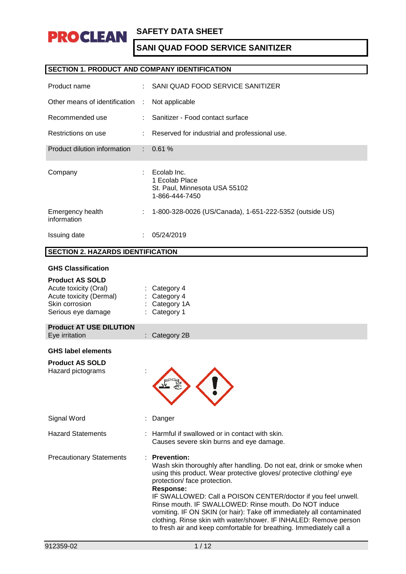

### **SECTION 1. PRODUCT AND COMPANY IDENTIFICATION**

| Product name                    |                             | SANI QUAD FOOD SERVICE SANITIZER                                                 |
|---------------------------------|-----------------------------|----------------------------------------------------------------------------------|
| Other means of identification   | ÷                           | Not applicable                                                                   |
| Recommended use                 |                             | Sanitizer - Food contact surface                                                 |
| Restrictions on use             | $\mathcal{L}^{\mathcal{L}}$ | Reserved for industrial and professional use.                                    |
| Product dilution information    |                             | $: 0.61 \%$                                                                      |
| Company                         |                             | Ecolab Inc.<br>1 Ecolab Place<br>St. Paul, Minnesota USA 55102<br>1-866-444-7450 |
| Emergency health<br>information |                             | 1-800-328-0026 (US/Canada), 1-651-222-5352 (outside US)                          |
| Issuing date                    |                             | 05/24/2019                                                                       |

# **SECTION 2. HAZARDS IDENTIFICATION**

#### **GHS Classification**

| Acute toxicity (Oral)<br>Acute toxicity (Dermal)<br>Skin corrosion<br>Serious eye damage | Category 4<br>Category 4<br>Category 1A<br>Category 1                                                                                                                                                                                                                                                                                                                                                                                                                                                                                                                 |
|------------------------------------------------------------------------------------------|-----------------------------------------------------------------------------------------------------------------------------------------------------------------------------------------------------------------------------------------------------------------------------------------------------------------------------------------------------------------------------------------------------------------------------------------------------------------------------------------------------------------------------------------------------------------------|
| <b>Product AT USE DILUTION</b><br>Eye irritation                                         | : Category 2B                                                                                                                                                                                                                                                                                                                                                                                                                                                                                                                                                         |
| <b>GHS label elements</b><br><b>Product AS SOLD</b><br>Hazard pictograms                 |                                                                                                                                                                                                                                                                                                                                                                                                                                                                                                                                                                       |
| Signal Word                                                                              | Danger                                                                                                                                                                                                                                                                                                                                                                                                                                                                                                                                                                |
| <b>Hazard Statements</b>                                                                 | Harmful if swallowed or in contact with skin.<br>Causes severe skin burns and eye damage.                                                                                                                                                                                                                                                                                                                                                                                                                                                                             |
| <b>Precautionary Statements</b>                                                          | <b>Prevention:</b><br>Wash skin thoroughly after handling. Do not eat, drink or smoke when<br>using this product. Wear protective gloves/ protective clothing/ eye<br>protection/ face protection.<br><b>Response:</b><br>IF SWALLOWED: Call a POISON CENTER/doctor if you feel unwell.<br>Rinse mouth. IF SWALLOWED: Rinse mouth. Do NOT induce<br>vomiting. IF ON SKIN (or hair): Take off immediately all contaminated<br>clothing. Rinse skin with water/shower. IF INHALED: Remove person<br>to fresh air and keep comfortable for breathing. Immediately call a |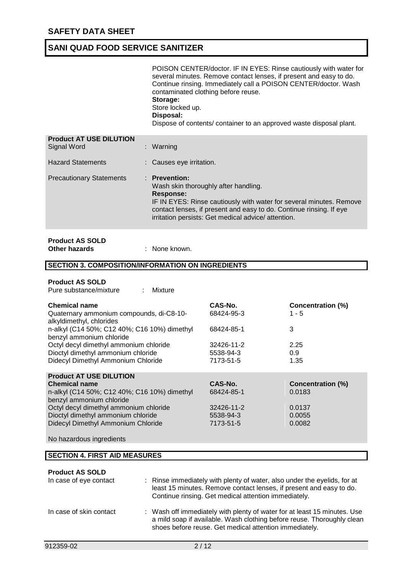|                                                | POISON CENTER/doctor. IF IN EYES: Rinse cautiously with water for<br>several minutes. Remove contact lenses, if present and easy to do.<br>Continue rinsing. Immediately call a POISON CENTER/doctor. Wash<br>contaminated clothing before reuse.<br>Storage:<br>Store locked up.<br>Disposal:<br>Dispose of contents/ container to an approved waste disposal plant. |
|------------------------------------------------|-----------------------------------------------------------------------------------------------------------------------------------------------------------------------------------------------------------------------------------------------------------------------------------------------------------------------------------------------------------------------|
| <b>Product AT USE DILUTION</b><br>Signal Word  | : Warning                                                                                                                                                                                                                                                                                                                                                             |
| <b>Hazard Statements</b>                       | : Causes eye irritation.                                                                                                                                                                                                                                                                                                                                              |
| <b>Precautionary Statements</b>                | · Prevention:<br>Wash skin thoroughly after handling.<br><b>Response:</b><br>IF IN EYES: Rinse cautiously with water for several minutes. Remove<br>contact lenses, if present and easy to do. Continue rinsing. If eye<br>irritation persists: Get medical advice/ attention.                                                                                        |
| <b>Product AS SOLD</b><br><b>Other hazards</b> | : None known.                                                                                                                                                                                                                                                                                                                                                         |
|                                                | <b>SECTION 3. COMPOSITION/INFORMATION ON INGREDIENTS</b>                                                                                                                                                                                                                                                                                                              |
| Dradust AC <sub>COI</sub> D                    |                                                                                                                                                                                                                                                                                                                                                                       |

| <b>Product AS SOLD</b> |         |
|------------------------|---------|
| Pure substance/mixture | Mixture |

| <b>Chemical name</b><br>Quaternary ammonium compounds, di-C8-10-<br>alkyldimethyl, chlorides<br>n-alkyl (C14 50%; C12 40%; C16 10%) dimethyl<br>benzyl ammonium chloride | CAS-No.<br>68424-95-3<br>68424-85-1 | <b>Concentration (%)</b><br>$1 - 5$<br>3 |
|--------------------------------------------------------------------------------------------------------------------------------------------------------------------------|-------------------------------------|------------------------------------------|
| Octyl decyl dimethyl ammonium chloride<br>Dioctyl dimethyl ammonium chloride                                                                                             | 32426-11-2<br>5538-94-3             | 2.25<br>0.9                              |
| Didecyl Dimethyl Ammonium Chloride                                                                                                                                       | 7173-51-5                           | 1.35                                     |
| <b>Product AT USE DILUTION</b>                                                                                                                                           |                                     |                                          |
| <b>Chemical name</b>                                                                                                                                                     | CAS-No.                             | <b>Concentration (%)</b>                 |
| n-alkyl (C14 50%; C12 40%; C16 10%) dimethyl<br>benzyl ammonium chloride                                                                                                 | 68424-85-1                          | 0.0183                                   |
| Octyl decyl dimethyl ammonium chloride                                                                                                                                   | 32426-11-2                          | 0.0137                                   |
| Dioctyl dimethyl ammonium chloride                                                                                                                                       | 5538-94-3                           | 0.0055                                   |
| Didecyl Dimethyl Ammonium Chloride                                                                                                                                       | 7173-51-5                           | 0.0082                                   |

No hazardous ingredients

#### **Product AS SOLD**

| In case of eye contact  | : Rinse immediately with plenty of water, also under the eyelids, for at<br>least 15 minutes. Remove contact lenses, if present and easy to do.<br>Continue rinsing. Get medical attention immediately.      |
|-------------------------|--------------------------------------------------------------------------------------------------------------------------------------------------------------------------------------------------------------|
| In case of skin contact | : Wash off immediately with plenty of water for at least 15 minutes. Use<br>a mild soap if available. Wash clothing before reuse. Thoroughly clean<br>shoes before reuse. Get medical attention immediately. |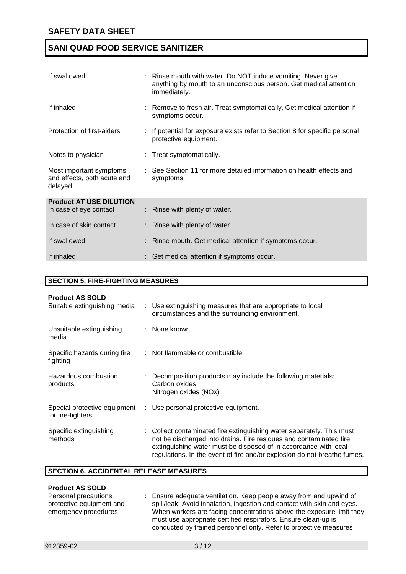| If swallowed                                                      | : Rinse mouth with water. Do NOT induce vomiting. Never give<br>anything by mouth to an unconscious person. Get medical attention<br>immediately. |
|-------------------------------------------------------------------|---------------------------------------------------------------------------------------------------------------------------------------------------|
| If inhaled                                                        | : Remove to fresh air. Treat symptomatically. Get medical attention if<br>symptoms occur.                                                         |
| Protection of first-aiders                                        | : If potential for exposure exists refer to Section 8 for specific personal<br>protective equipment.                                              |
| Notes to physician                                                | : Treat symptomatically.                                                                                                                          |
| Most important symptoms<br>and effects, both acute and<br>delayed | : See Section 11 for more detailed information on health effects and<br>symptoms.                                                                 |
| <b>Product AT USE DILUTION</b><br>In case of eye contact          | $:$ Rinse with plenty of water.                                                                                                                   |
| In case of skin contact                                           | : Rinse with plenty of water.                                                                                                                     |
| If swallowed                                                      | : Rinse mouth. Get medical attention if symptoms occur.                                                                                           |
| If inhaled                                                        | : Get medical attention if symptoms occur.                                                                                                        |

#### **SECTION 5. FIRE-FIGHTING MEASURES**

| <b>Product AS SOLD</b>                            |                                                                                                                                                                                                                                                                                             |
|---------------------------------------------------|---------------------------------------------------------------------------------------------------------------------------------------------------------------------------------------------------------------------------------------------------------------------------------------------|
| Suitable extinguishing media                      | : Use extinguishing measures that are appropriate to local<br>circumstances and the surrounding environment.                                                                                                                                                                                |
| Unsuitable extinguishing<br>media                 | : None known.                                                                                                                                                                                                                                                                               |
| Specific hazards during fire<br>fighting          | : Not flammable or combustible.                                                                                                                                                                                                                                                             |
| Hazardous combustion<br>products                  | : Decomposition products may include the following materials:<br>Carbon oxides<br>Nitrogen oxides (NOx)                                                                                                                                                                                     |
| Special protective equipment<br>for fire-fighters | : Use personal protective equipment.                                                                                                                                                                                                                                                        |
| Specific extinguishing<br>methods                 | : Collect contaminated fire extinguishing water separately. This must<br>not be discharged into drains. Fire residues and contaminated fire<br>extinguishing water must be disposed of in accordance with local<br>regulations. In the event of fire and/or explosion do not breathe fumes. |

#### **SECTION 6. ACCIDENTAL RELEASE MEASURES**

#### **Product AS SOLD**

| .                        |                                                                         |
|--------------------------|-------------------------------------------------------------------------|
| Personal precautions,    | : Ensure adequate ventilation. Keep people away from and upwind of      |
| protective equipment and | spill/leak. Avoid inhalation, ingestion and contact with skin and eyes. |
| emergency procedures     | When workers are facing concentrations above the exposure limit they    |
|                          | must use appropriate certified respirators. Ensure clean-up is          |
|                          | conducted by trained personnel only. Refer to protective measures       |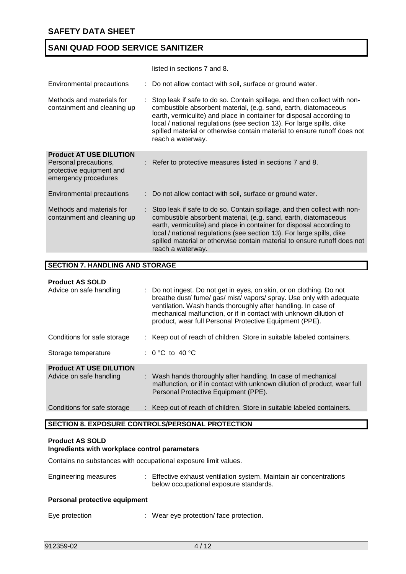|                                                                                                             | listed in sections 7 and 8.                                                                                                                                                                                                                                                                                                                                                                     |
|-------------------------------------------------------------------------------------------------------------|-------------------------------------------------------------------------------------------------------------------------------------------------------------------------------------------------------------------------------------------------------------------------------------------------------------------------------------------------------------------------------------------------|
| Environmental precautions                                                                                   | : Do not allow contact with soil, surface or ground water.                                                                                                                                                                                                                                                                                                                                      |
| Methods and materials for<br>containment and cleaning up                                                    | Stop leak if safe to do so. Contain spillage, and then collect with non-<br>combustible absorbent material, (e.g. sand, earth, diatomaceous<br>earth, vermiculite) and place in container for disposal according to<br>local / national regulations (see section 13). For large spills, dike<br>spilled material or otherwise contain material to ensure runoff does not<br>reach a waterway.   |
| <b>Product AT USE DILUTION</b><br>Personal precautions,<br>protective equipment and<br>emergency procedures | : Refer to protective measures listed in sections 7 and 8.                                                                                                                                                                                                                                                                                                                                      |
| Environmental precautions                                                                                   | : Do not allow contact with soil, surface or ground water.                                                                                                                                                                                                                                                                                                                                      |
| Methods and materials for<br>containment and cleaning up                                                    | : Stop leak if safe to do so. Contain spillage, and then collect with non-<br>combustible absorbent material, (e.g. sand, earth, diatomaceous<br>earth, vermiculite) and place in container for disposal according to<br>local / national regulations (see section 13). For large spills, dike<br>spilled material or otherwise contain material to ensure runoff does not<br>reach a waterway. |

#### **SECTION 7. HANDLING AND STORAGE**

#### **Product AS SOLD**

| Advice on safe handling                                   | : Do not ingest. Do not get in eyes, on skin, or on clothing. Do not<br>breathe dust/fume/gas/mist/vapors/spray. Use only with adequate<br>ventilation. Wash hands thoroughly after handling. In case of<br>mechanical malfunction, or if in contact with unknown dilution of<br>product, wear full Personal Protective Equipment (PPE). |
|-----------------------------------------------------------|------------------------------------------------------------------------------------------------------------------------------------------------------------------------------------------------------------------------------------------------------------------------------------------------------------------------------------------|
| Conditions for safe storage                               | : Keep out of reach of children. Store in suitable labeled containers.                                                                                                                                                                                                                                                                   |
| Storage temperature                                       | : 0 °C to 40 °C                                                                                                                                                                                                                                                                                                                          |
| <b>Product AT USE DILUTION</b><br>Advice on safe handling | : Wash hands thoroughly after handling. In case of mechanical<br>malfunction, or if in contact with unknown dilution of product, wear full<br>Personal Protective Equipment (PPE).                                                                                                                                                       |
| Conditions for safe storage                               | : Keep out of reach of children. Store in suitable labeled containers.                                                                                                                                                                                                                                                                   |

### **SECTION 8. EXPOSURE CONTROLS/PERSONAL PROTECTION**

### **Product AS SOLD**

### **Ingredients with workplace control parameters**

Contains no substances with occupational exposure limit values.

| Engineering measures               | : Effective exhaust ventilation system. Maintain air concentrations<br>below occupational exposure standards. |
|------------------------------------|---------------------------------------------------------------------------------------------------------------|
| Beserved service the conduction of |                                                                                                               |

#### **Personal protective equipment**

Eye protection : Wear eye protection/ face protection.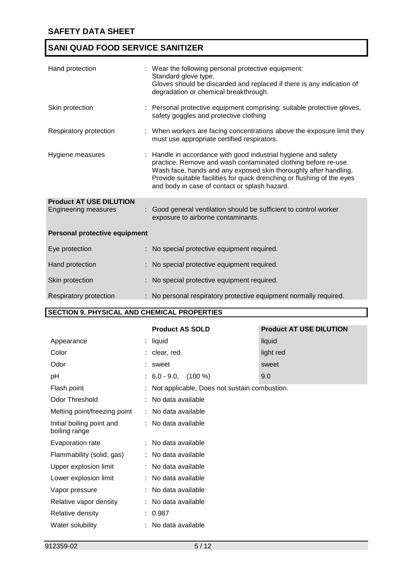| Hand protection                                               | : Wear the following personal protective equipment:<br>Standard glove type.<br>Gloves should be discarded and replaced if there is any indication of<br>degradation or chemical breakthrough.                                                                                                                                    |
|---------------------------------------------------------------|----------------------------------------------------------------------------------------------------------------------------------------------------------------------------------------------------------------------------------------------------------------------------------------------------------------------------------|
| Skin protection                                               | : Personal protective equipment comprising: suitable protective gloves,<br>safety goggles and protective clothing                                                                                                                                                                                                                |
| Respiratory protection                                        | : When workers are facing concentrations above the exposure limit they<br>must use appropriate certified respirators.                                                                                                                                                                                                            |
| Hygiene measures                                              | : Handle in accordance with good industrial hygiene and safety<br>practice. Remove and wash contaminated clothing before re-use.<br>Wash face, hands and any exposed skin thoroughly after handling.<br>Provide suitable facilities for quick drenching or flushing of the eyes<br>and body in case of contact or splash hazard. |
| <b>Product AT USE DILUTION</b><br><b>Engineering measures</b> | : Good general ventilation should be sufficient to control worker<br>exposure to airborne contaminants.                                                                                                                                                                                                                          |
| Personal protective equipment                                 |                                                                                                                                                                                                                                                                                                                                  |
| Eye protection                                                | : No special protective equipment required.                                                                                                                                                                                                                                                                                      |
| Hand protection                                               | No special protective equipment required.                                                                                                                                                                                                                                                                                        |
| Skin protection                                               | No special protective equipment required.                                                                                                                                                                                                                                                                                        |
| Respiratory protection                                        | : No personal respiratory protective equipment normally required.                                                                                                                                                                                                                                                                |

### **SECTION 9. PHYSICAL AND CHEMICAL PROPERTIES**

|                                            | <b>Product AS SOLD</b>                         | <b>Product AT USE DILUTION</b> |  |
|--------------------------------------------|------------------------------------------------|--------------------------------|--|
| Appearance                                 | $:$ liquid                                     | liquid                         |  |
| Color                                      | : clear, red                                   | light red                      |  |
| Odor                                       | : sweet                                        | sweet                          |  |
| pH                                         | $: 6.0 - 9.0,$<br>$(100\%)$                    | 9.0                            |  |
| Flash point                                | : Not applicable, Does not sustain combustion. |                                |  |
| <b>Odor Threshold</b>                      | : No data available                            |                                |  |
| Melting point/freezing point               | : No data available                            |                                |  |
| Initial boiling point and<br>boiling range | : No data available                            |                                |  |
| Evaporation rate                           | : No data available                            |                                |  |
| Flammability (solid, gas)                  | : No data available                            |                                |  |
| Upper explosion limit                      | : No data available                            |                                |  |
| Lower explosion limit                      | : No data available                            |                                |  |
| Vapor pressure                             | : No data available                            |                                |  |
| Relative vapor density                     | : No data available                            |                                |  |
| Relative density                           | : 0.987                                        |                                |  |
| Water solubility                           | No data available                              |                                |  |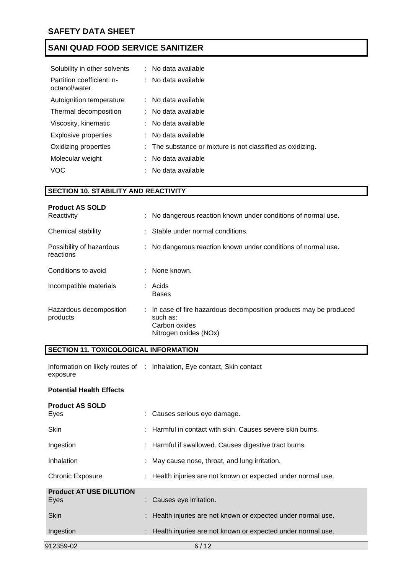| Solubility in other solvents               | : No data available                                        |
|--------------------------------------------|------------------------------------------------------------|
| Partition coefficient: n-<br>octanol/water | $:$ No data available                                      |
| Autoignition temperature                   | : No data available                                        |
| Thermal decomposition                      | : No data available                                        |
| Viscosity, kinematic                       | : No data available                                        |
| <b>Explosive properties</b>                | : No data available                                        |
| Oxidizing properties                       | : The substance or mixture is not classified as oxidizing. |
| Molecular weight                           | No data available                                          |
| VOC                                        | No data available                                          |

### **SECTION 10. STABILITY AND REACTIVITY**

| <b>Product AS SOLD</b><br>Reactivity  | : No dangerous reaction known under conditions of normal use.                                                            |
|---------------------------------------|--------------------------------------------------------------------------------------------------------------------------|
| Chemical stability                    | : Stable under normal conditions.                                                                                        |
| Possibility of hazardous<br>reactions | : No dangerous reaction known under conditions of normal use.                                                            |
| Conditions to avoid                   | $:$ None known.                                                                                                          |
| Incompatible materials                | $:$ Acids<br>Bases                                                                                                       |
| Hazardous decomposition<br>products   | : In case of fire hazardous decomposition products may be produced<br>such as:<br>Carbon oxides<br>Nitrogen oxides (NOx) |

# **SECTION 11. TOXICOLOGICAL INFORMATION**

| Information on likely routes of : Inhalation, Eye contact, Skin contact |  |  |
|-------------------------------------------------------------------------|--|--|
| exposure                                                                |  |  |

### **Potential Health Effects**

| <b>Product AS SOLD</b>         |                                                               |
|--------------------------------|---------------------------------------------------------------|
| Eyes                           | : Causes serious eye damage.                                  |
| <b>Skin</b>                    | : Harmful in contact with skin. Causes severe skin burns.     |
| Ingestion                      | : Harmful if swallowed. Causes digestive tract burns.         |
| Inhalation                     | : May cause nose, throat, and lung irritation.                |
| <b>Chronic Exposure</b>        | : Health injuries are not known or expected under normal use. |
| <b>Product AT USE DILUTION</b> |                                                               |
| Eyes                           | : Causes eye irritation.                                      |
| <b>Skin</b>                    | : Health injuries are not known or expected under normal use. |
| Ingestion                      | : Health injuries are not known or expected under normal use. |
| 912359-02                      | 6/12                                                          |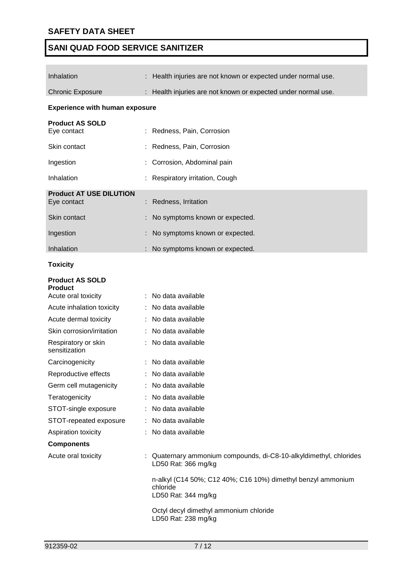the control of the control of the

# **SANI QUAD FOOD SERVICE SANITIZER**

| Inhalation                                                      | : Health injuries are not known or expected under normal use.                                   |
|-----------------------------------------------------------------|-------------------------------------------------------------------------------------------------|
| <b>Chronic Exposure</b>                                         | : Health injuries are not known or expected under normal use.                                   |
| <b>Experience with human exposure</b>                           |                                                                                                 |
| <b>Product AS SOLD</b><br>Eye contact                           | Redness, Pain, Corrosion                                                                        |
| Skin contact                                                    | Redness, Pain, Corrosion                                                                        |
| Ingestion                                                       | Corrosion, Abdominal pain                                                                       |
| Inhalation                                                      | Respiratory irritation, Cough                                                                   |
| <b>Product AT USE DILUTION</b><br>Eye contact                   | Redness, Irritation                                                                             |
| Skin contact                                                    | No symptoms known or expected.                                                                  |
| Ingestion                                                       | No symptoms known or expected.                                                                  |
| Inhalation                                                      | No symptoms known or expected.                                                                  |
| <b>Toxicity</b>                                                 |                                                                                                 |
| <b>Product AS SOLD</b><br><b>Product</b><br>Acute oral toxicity | No data available                                                                               |
| Acute inhalation toxicity                                       | No data available                                                                               |
| Acute dermal toxicity                                           | No data available                                                                               |
| Skin corrosion/irritation                                       | No data available                                                                               |
| Respiratory or skin<br>sensitization                            | No data available                                                                               |
| Carcinogenicity                                                 | : No data available                                                                             |
| Reproductive effects                                            | : No data available                                                                             |
| Germ cell mutagenicity                                          | : No data available                                                                             |
| Teratogenicity                                                  | : No data available                                                                             |
| STOT-single exposure                                            | : No data available                                                                             |
| STOT-repeated exposure                                          | No data available                                                                               |
| Aspiration toxicity                                             | No data available                                                                               |
| <b>Components</b>                                               |                                                                                                 |
| Acute oral toxicity                                             | : Quaternary ammonium compounds, di-C8-10-alkyldimethyl, chlorides<br>LD50 Rat: 366 mg/kg       |
|                                                                 | n-alkyl (C14 50%; C12 40%; C16 10%) dimethyl benzyl ammonium<br>chloride<br>LD50 Rat: 344 mg/kg |
|                                                                 | Octyl decyl dimethyl ammonium chloride<br>LD50 Rat: 238 mg/kg                                   |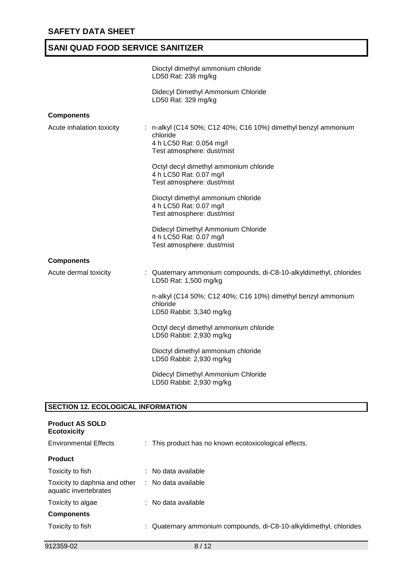|                           | Dioctyl dimethyl ammonium chloride<br>LD50 Rat: 238 mg/kg                                                                            |
|---------------------------|--------------------------------------------------------------------------------------------------------------------------------------|
|                           | Didecyl Dimethyl Ammonium Chloride<br>LD50 Rat: 329 mg/kg                                                                            |
| <b>Components</b>         |                                                                                                                                      |
| Acute inhalation toxicity | : n-alkyl (C14 50%; C12 40%; C16 10%) dimethyl benzyl ammonium<br>chloride<br>4 h LC50 Rat: 0.054 mg/l<br>Test atmosphere: dust/mist |
|                           | Octyl decyl dimethyl ammonium chloride<br>4 h LC50 Rat: 0.07 mg/l<br>Test atmosphere: dust/mist                                      |
|                           | Dioctyl dimethyl ammonium chloride<br>4 h LC50 Rat: 0.07 mg/l<br>Test atmosphere: dust/mist                                          |
|                           | Didecyl Dimethyl Ammonium Chloride<br>4 h LC50 Rat: 0.07 mg/l<br>Test atmosphere: dust/mist                                          |
| <b>Components</b>         |                                                                                                                                      |
| Acute dermal toxicity     | : Quaternary ammonium compounds, di-C8-10-alkyldimethyl, chlorides<br>LD50 Rat: 1,500 mg/kg                                          |
|                           | n-alkyl (C14 50%; C12 40%; C16 10%) dimethyl benzyl ammonium<br>chloride<br>LD50 Rabbit: 3,340 mg/kg                                 |
|                           | Octyl decyl dimethyl ammonium chloride<br>LD50 Rabbit: 2,930 mg/kg                                                                   |
|                           | Dioctyl dimethyl ammonium chloride<br>LD50 Rabbit: 2,930 mg/kg                                                                       |
|                           | Didecyl Dimethyl Ammonium Chloride<br>LD50 Rabbit: 2,930 mg/kg                                                                       |
|                           |                                                                                                                                      |

# **SECTION 12. ECOLOGICAL INFORMATION**

| <b>Product AS SOLD</b><br><b>Ecotoxicity</b>           |                                                                    |
|--------------------------------------------------------|--------------------------------------------------------------------|
| <b>Environmental Effects</b>                           | : This product has no known ecotoxicological effects.              |
| <b>Product</b>                                         |                                                                    |
| Toxicity to fish                                       | $\therefore$ No data available                                     |
| Toxicity to daphnia and other<br>aquatic invertebrates | : No data available                                                |
| Toxicity to algae                                      | $\therefore$ No data available                                     |
| <b>Components</b>                                      |                                                                    |
| Toxicity to fish                                       | : Quaternary ammonium compounds, di-C8-10-alkyldimethyl, chlorides |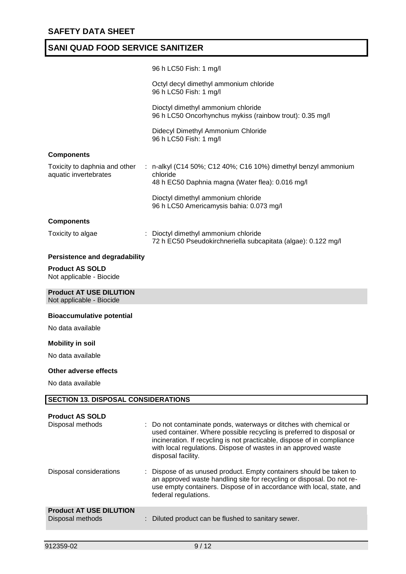|                                                            | 96 h LC50 Fish: 1 mg/l                                                                                                                                                                                                                                                                                     |
|------------------------------------------------------------|------------------------------------------------------------------------------------------------------------------------------------------------------------------------------------------------------------------------------------------------------------------------------------------------------------|
|                                                            | Octyl decyl dimethyl ammonium chloride<br>96 h LC50 Fish: 1 mg/l                                                                                                                                                                                                                                           |
|                                                            | Dioctyl dimethyl ammonium chloride<br>96 h LC50 Oncorhynchus mykiss (rainbow trout): 0.35 mg/l                                                                                                                                                                                                             |
|                                                            | Didecyl Dimethyl Ammonium Chloride<br>96 h LC50 Fish: 1 mg/l                                                                                                                                                                                                                                               |
| <b>Components</b>                                          |                                                                                                                                                                                                                                                                                                            |
| Toxicity to daphnia and other<br>aquatic invertebrates     | : n-alkyl (C14 50%; C12 40%; C16 10%) dimethyl benzyl ammonium<br>chloride<br>48 h EC50 Daphnia magna (Water flea): 0.016 mg/l                                                                                                                                                                             |
|                                                            | Dioctyl dimethyl ammonium chloride<br>96 h LC50 Americamysis bahia: 0.073 mg/l                                                                                                                                                                                                                             |
| <b>Components</b>                                          |                                                                                                                                                                                                                                                                                                            |
| Toxicity to algae                                          | : Dioctyl dimethyl ammonium chloride<br>72 h EC50 Pseudokirchneriella subcapitata (algae): 0.122 mg/l                                                                                                                                                                                                      |
| Persistence and degradability                              |                                                                                                                                                                                                                                                                                                            |
| <b>Product AS SOLD</b><br>Not applicable - Biocide         |                                                                                                                                                                                                                                                                                                            |
| <b>Product AT USE DILUTION</b><br>Not applicable - Biocide |                                                                                                                                                                                                                                                                                                            |
| <b>Bioaccumulative potential</b>                           |                                                                                                                                                                                                                                                                                                            |
| No data available                                          |                                                                                                                                                                                                                                                                                                            |
| <b>Mobility in soil</b>                                    |                                                                                                                                                                                                                                                                                                            |
| No data available                                          |                                                                                                                                                                                                                                                                                                            |
| Other adverse effects                                      |                                                                                                                                                                                                                                                                                                            |
| No data available                                          |                                                                                                                                                                                                                                                                                                            |
| <b>SECTION 13. DISPOSAL CONSIDERATIONS</b>                 |                                                                                                                                                                                                                                                                                                            |
|                                                            |                                                                                                                                                                                                                                                                                                            |
| <b>Product AS SOLD</b><br>Disposal methods                 | Do not contaminate ponds, waterways or ditches with chemical or<br>used container. Where possible recycling is preferred to disposal or<br>incineration. If recycling is not practicable, dispose of in compliance<br>with local regulations. Dispose of wastes in an approved waste<br>disposal facility. |
| Disposal considerations                                    | Dispose of as unused product. Empty containers should be taken to<br>an approved waste handling site for recycling or disposal. Do not re-<br>use empty containers. Dispose of in accordance with local, state, and<br>federal regulations.                                                                |
| <b>Product AT USE DILUTION</b><br>Disposal methods         | Diluted product can be flushed to sanitary sewer.                                                                                                                                                                                                                                                          |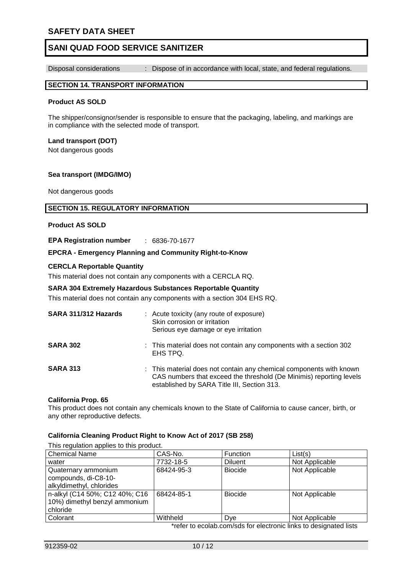### **SAFETY DATA SHEET**

### **SANI QUAD FOOD SERVICE SANITIZER**

Disposal considerations : Dispose of in accordance with local, state, and federal regulations.

#### **SECTION 14. TRANSPORT INFORMATION**

#### **Product AS SOLD**

The shipper/consignor/sender is responsible to ensure that the packaging, labeling, and markings are in compliance with the selected mode of transport.

#### **Land transport (DOT)**

Not dangerous goods

#### **Sea transport (IMDG/IMO)**

Not dangerous goods

#### **SECTION 15. REGULATORY INFORMATION**

#### **Product AS SOLD**

**EPA Registration number** : 6836-70-1677

#### **EPCRA - Emergency Planning and Community Right-to-Know**

#### **CERCLA Reportable Quantity**

This material does not contain any components with a CERCLA RQ.

#### **SARA 304 Extremely Hazardous Substances Reportable Quantity**

This material does not contain any components with a section 304 EHS RQ.

| SARA 311/312 Hazards | : Acute toxicity (any route of exposure)<br>Skin corrosion or irritation<br>Serious eye damage or eye irritation                                                                          |
|----------------------|-------------------------------------------------------------------------------------------------------------------------------------------------------------------------------------------|
| <b>SARA 302</b>      | : This material does not contain any components with a section 302<br>EHS TPQ.                                                                                                            |
| <b>SARA 313</b>      | : This material does not contain any chemical components with known<br>CAS numbers that exceed the threshold (De Minimis) reporting levels<br>established by SARA Title III, Section 313. |

#### **California Prop. 65**

This product does not contain any chemicals known to the State of California to cause cancer, birth, or any other reproductive defects.

#### **California Cleaning Product Right to Know Act of 2017 (SB 258)**

This regulation applies to this product. Chemical Name CAS-No. Function List(s) water  $|7732-18-5$  Diluent Not Applicable Quaternary ammonium compounds, di-C8-10 alkyldimethyl, chlorides 68424-95-3 | Biocide | Not Applicable n-alkyl (C14 50%; C12 40%; C16 10%) dimethyl benzyl ammonium chloride 68424-85-1 | Biocide | Not Applicable Colorant Not Applicable Not Applicable Not Applicable Not Applicable

\*refer to ecolab.com/sds for electronic links to designated lists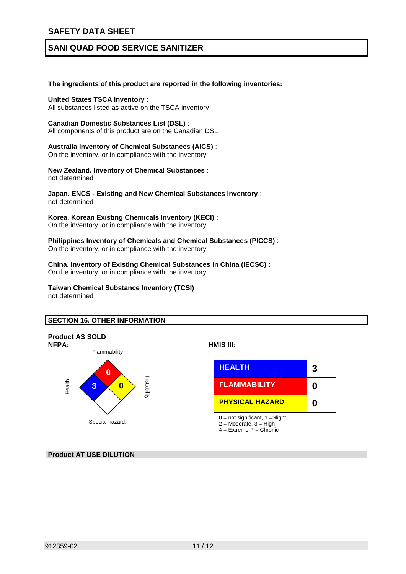### **SAFETY DATA SHEET**

# **SANI QUAD FOOD SERVICE SANITIZER**

#### **The ingredients of this product are reported in the following inventories:**

#### **United States TSCA Inventory** :

All substances listed as active on the TSCA inventory

#### **Canadian Domestic Substances List (DSL)** :

All components of this product are on the Canadian DSL

#### **Australia Inventory of Chemical Substances (AICS)** :

On the inventory, or in compliance with the inventory

**New Zealand. Inventory of Chemical Substances** : not determined

#### **Japan. ENCS - Existing and New Chemical Substances Inventory** : not determined

#### **Korea. Korean Existing Chemicals Inventory (KECI)** :

On the inventory, or in compliance with the inventory

#### **Philippines Inventory of Chemicals and Chemical Substances (PICCS)** : On the inventory, or in compliance with the inventory

**China. Inventory of Existing Chemical Substances in China (IECSC)** : On the inventory, or in compliance with the inventory

#### **Taiwan Chemical Substance Inventory (TCSI)** : not determined

#### **SECTION 16. OTHER INFORMATION**



|                        | <b>HEALTH</b>          |  |
|------------------------|------------------------|--|
| <b>Istability</b><br>0 | <b>FLAMMABILITY</b>    |  |
|                        | <b>PHYSICAL HAZARD</b> |  |

 $0 = not$  significant,  $1 =$ Slight,

 $2 =$  Moderate,  $3 =$  High

 $4 =$  Extreme,  $* =$  Chronic

### **Product AT USE DILUTION**